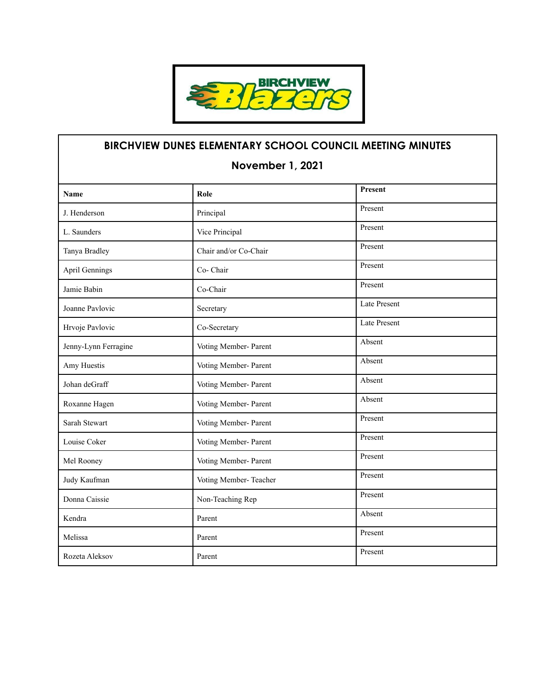

## **BIRCHVIEW DUNES ELEMENTARY SCHOOL COUNCIL MEETING MINUTES November 1, 2021 Name Role Role Role Role Role R** J. Henderson **Principal** Principal Principal Present L. Saunders Vice Principal Present Tanya Bradley Chair and/or Co-Chair Present April Gennings Co- Chair Present Jamie Babin Co-Chair Co-Chair Joanne Pavlovic Secretary Secretary Late Present Hrvoje Pavlovic Co-Secretary Late Present Jenny-Lynn Ferragine Voting Member- Parent Absent Amy Huestis **Absent** Voting Member- Parent Absent Johan deGraff Voting Member- Parent Absent Roxanne Hagen Voting Member- Parent Absent Sarah Stewart Voting Member- Parent Present Louise Coker Voting Member- Parent Present Mel Rooney Voting Member- Parent Present Judy Kaufman Voting Member- Teacher Present Donna Caissie Non-Teaching Rep Present Kendra Absent Melissa Present Rozeta Aleksov Parent Parent Present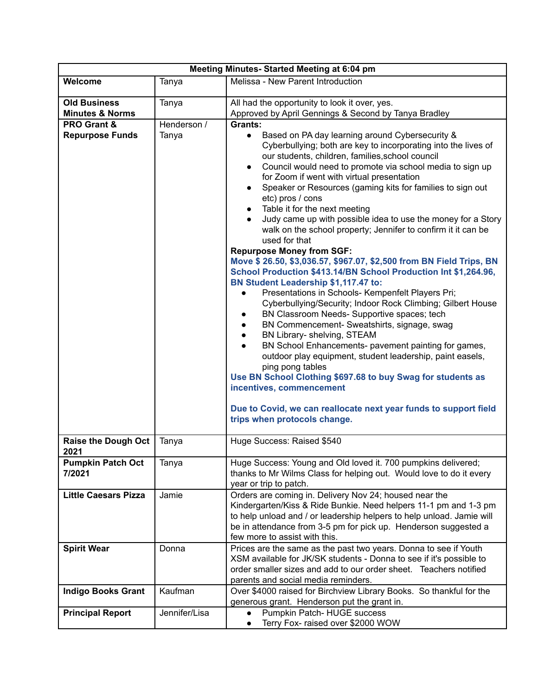| Meeting Minutes- Started Meeting at 6:04 pm |               |                                                                                                                                                                                                                                                                                                                                                                                                                                                                                                                                                                                                                                                                                                                                                                                                                                                                                                                                                                                                                                                                                                                                                                                                                                                                                                                                                                                                                                                                                            |  |  |
|---------------------------------------------|---------------|--------------------------------------------------------------------------------------------------------------------------------------------------------------------------------------------------------------------------------------------------------------------------------------------------------------------------------------------------------------------------------------------------------------------------------------------------------------------------------------------------------------------------------------------------------------------------------------------------------------------------------------------------------------------------------------------------------------------------------------------------------------------------------------------------------------------------------------------------------------------------------------------------------------------------------------------------------------------------------------------------------------------------------------------------------------------------------------------------------------------------------------------------------------------------------------------------------------------------------------------------------------------------------------------------------------------------------------------------------------------------------------------------------------------------------------------------------------------------------------------|--|--|
| Welcome                                     | Tanya         | Melissa - New Parent Introduction                                                                                                                                                                                                                                                                                                                                                                                                                                                                                                                                                                                                                                                                                                                                                                                                                                                                                                                                                                                                                                                                                                                                                                                                                                                                                                                                                                                                                                                          |  |  |
| <b>Old Business</b>                         | Tanya         | All had the opportunity to look it over, yes.                                                                                                                                                                                                                                                                                                                                                                                                                                                                                                                                                                                                                                                                                                                                                                                                                                                                                                                                                                                                                                                                                                                                                                                                                                                                                                                                                                                                                                              |  |  |
| <b>Minutes &amp; Norms</b>                  |               | Approved by April Gennings & Second by Tanya Bradley                                                                                                                                                                                                                                                                                                                                                                                                                                                                                                                                                                                                                                                                                                                                                                                                                                                                                                                                                                                                                                                                                                                                                                                                                                                                                                                                                                                                                                       |  |  |
| <b>PRO Grant &amp;</b>                      | Henderson /   | Grants:                                                                                                                                                                                                                                                                                                                                                                                                                                                                                                                                                                                                                                                                                                                                                                                                                                                                                                                                                                                                                                                                                                                                                                                                                                                                                                                                                                                                                                                                                    |  |  |
| <b>Repurpose Funds</b>                      | Tanya         | Based on PA day learning around Cybersecurity &<br>$\bullet$<br>Cyberbullying; both are key to incorporating into the lives of<br>our students, children, families, school council<br>Council would need to promote via school media to sign up<br>$\bullet$<br>for Zoom if went with virtual presentation<br>Speaker or Resources (gaming kits for families to sign out<br>etc) pros / cons<br>Table it for the next meeting<br>$\bullet$<br>Judy came up with possible idea to use the money for a Story<br>$\bullet$<br>walk on the school property; Jennifer to confirm it it can be<br>used for that<br><b>Repurpose Money from SGF:</b><br>Move \$ 26.50, \$3,036.57, \$967.07, \$2,500 from BN Field Trips, BN<br>School Production \$413.14/BN School Production Int \$1,264.96,<br>BN Student Leadership \$1,117.47 to:<br>Presentations in Schools- Kempenfelt Players Pri;<br>$\bullet$<br>Cyberbullying/Security; Indoor Rock Climbing; Gilbert House<br>BN Classroom Needs- Supportive spaces; tech<br>$\bullet$<br>BN Commencement- Sweatshirts, signage, swag<br>$\bullet$<br>BN Library- shelving, STEAM<br>$\bullet$<br>BN School Enhancements- pavement painting for games,<br>$\bullet$<br>outdoor play equipment, student leadership, paint easels,<br>ping pong tables<br>Use BN School Clothing \$697.68 to buy Swag for students as<br>incentives, commencement<br>Due to Covid, we can reallocate next year funds to support field<br>trips when protocols change. |  |  |
| <b>Raise the Dough Oct</b>                  | Tanya         | Huge Success: Raised \$540                                                                                                                                                                                                                                                                                                                                                                                                                                                                                                                                                                                                                                                                                                                                                                                                                                                                                                                                                                                                                                                                                                                                                                                                                                                                                                                                                                                                                                                                 |  |  |
| 2021<br><b>Pumpkin Patch Oct</b><br>7/2021  | Tanya         | Huge Success: Young and Old loved it. 700 pumpkins delivered;<br>thanks to Mr Wilms Class for helping out. Would love to do it every<br>year or trip to patch.                                                                                                                                                                                                                                                                                                                                                                                                                                                                                                                                                                                                                                                                                                                                                                                                                                                                                                                                                                                                                                                                                                                                                                                                                                                                                                                             |  |  |
| <b>Little Caesars Pizza</b>                 | Jamie         | Orders are coming in. Delivery Nov 24; housed near the<br>Kindergarten/Kiss & Ride Bunkie. Need helpers 11-1 pm and 1-3 pm<br>to help unload and / or leadership helpers to help unload. Jamie will<br>be in attendance from 3-5 pm for pick up. Henderson suggested a<br>few more to assist with this.                                                                                                                                                                                                                                                                                                                                                                                                                                                                                                                                                                                                                                                                                                                                                                                                                                                                                                                                                                                                                                                                                                                                                                                    |  |  |
| <b>Spirit Wear</b>                          | Donna         | Prices are the same as the past two years. Donna to see if Youth<br>XSM available for JK/SK students - Donna to see if it's possible to<br>order smaller sizes and add to our order sheet. Teachers notified<br>parents and social media reminders.                                                                                                                                                                                                                                                                                                                                                                                                                                                                                                                                                                                                                                                                                                                                                                                                                                                                                                                                                                                                                                                                                                                                                                                                                                        |  |  |
| <b>Indigo Books Grant</b>                   | Kaufman       | Over \$4000 raised for Birchview Library Books. So thankful for the<br>generous grant. Henderson put the grant in.                                                                                                                                                                                                                                                                                                                                                                                                                                                                                                                                                                                                                                                                                                                                                                                                                                                                                                                                                                                                                                                                                                                                                                                                                                                                                                                                                                         |  |  |
| <b>Principal Report</b>                     | Jennifer/Lisa | Pumpkin Patch-HUGE success<br>Terry Fox- raised over \$2000 WOW<br>$\bullet$                                                                                                                                                                                                                                                                                                                                                                                                                                                                                                                                                                                                                                                                                                                                                                                                                                                                                                                                                                                                                                                                                                                                                                                                                                                                                                                                                                                                               |  |  |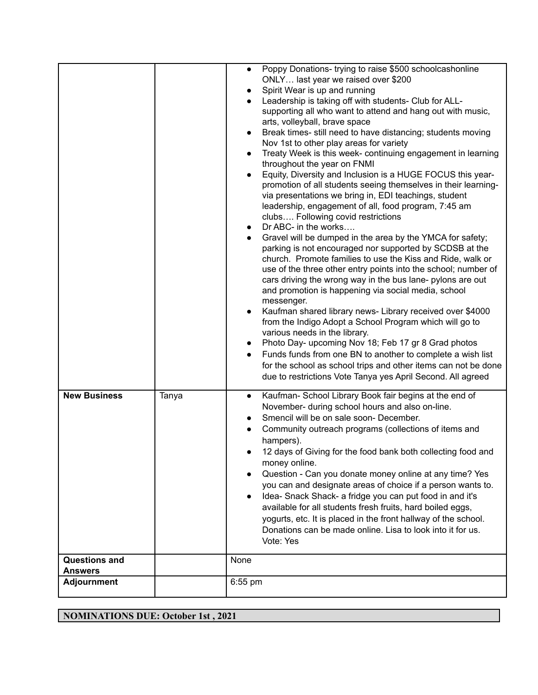|                                 |       | Poppy Donations- trying to raise \$500 schoolcashonline<br>$\bullet$<br>ONLY last year we raised over \$200<br>Spirit Wear is up and running<br>Leadership is taking off with students- Club for ALL-<br>$\bullet$<br>supporting all who want to attend and hang out with music,<br>arts, volleyball, brave space<br>Break times- still need to have distancing; students moving<br>$\bullet$<br>Nov 1st to other play areas for variety<br>Treaty Week is this week- continuing engagement in learning<br>throughout the year on FNMI<br>Equity, Diversity and Inclusion is a HUGE FOCUS this year-<br>$\bullet$<br>promotion of all students seeing themselves in their learning-<br>via presentations we bring in, EDI teachings, student<br>leadership, engagement of all, food program, 7:45 am<br>clubs Following covid restrictions<br>Dr ABC- in the works<br>Gravel will be dumped in the area by the YMCA for safety;<br>$\bullet$<br>parking is not encouraged nor supported by SCDSB at the<br>church. Promote families to use the Kiss and Ride, walk or<br>use of the three other entry points into the school; number of<br>cars driving the wrong way in the bus lane- pylons are out<br>and promotion is happening via social media, school<br>messenger.<br>Kaufman shared library news- Library received over \$4000<br>from the Indigo Adopt a School Program which will go to<br>various needs in the library.<br>Photo Day- upcoming Nov 18; Feb 17 gr 8 Grad photos<br>Funds funds from one BN to another to complete a wish list<br>$\bullet$<br>for the school as school trips and other items can not be done |
|---------------------------------|-------|-----------------------------------------------------------------------------------------------------------------------------------------------------------------------------------------------------------------------------------------------------------------------------------------------------------------------------------------------------------------------------------------------------------------------------------------------------------------------------------------------------------------------------------------------------------------------------------------------------------------------------------------------------------------------------------------------------------------------------------------------------------------------------------------------------------------------------------------------------------------------------------------------------------------------------------------------------------------------------------------------------------------------------------------------------------------------------------------------------------------------------------------------------------------------------------------------------------------------------------------------------------------------------------------------------------------------------------------------------------------------------------------------------------------------------------------------------------------------------------------------------------------------------------------------------------------------------------------------------------------------------------------|
| <b>New Business</b>             | Tanya | due to restrictions Vote Tanya yes April Second. All agreed<br>Kaufman- School Library Book fair begins at the end of                                                                                                                                                                                                                                                                                                                                                                                                                                                                                                                                                                                                                                                                                                                                                                                                                                                                                                                                                                                                                                                                                                                                                                                                                                                                                                                                                                                                                                                                                                                   |
|                                 |       | $\bullet$<br>November- during school hours and also on-line.<br>Smencil will be on sale soon- December.<br>Community outreach programs (collections of items and<br>hampers).<br>12 days of Giving for the food bank both collecting food and<br>money online.<br>Question - Can you donate money online at any time? Yes<br>you can and designate areas of choice if a person wants to.<br>Idea-Snack Shack- a fridge you can put food in and it's<br>available for all students fresh fruits, hard boiled eggs,<br>yogurts, etc. It is placed in the front hallway of the school.<br>Donations can be made online. Lisa to look into it for us.<br>Vote: Yes                                                                                                                                                                                                                                                                                                                                                                                                                                                                                                                                                                                                                                                                                                                                                                                                                                                                                                                                                                          |
| <b>Questions and</b><br>Answers |       | None                                                                                                                                                                                                                                                                                                                                                                                                                                                                                                                                                                                                                                                                                                                                                                                                                                                                                                                                                                                                                                                                                                                                                                                                                                                                                                                                                                                                                                                                                                                                                                                                                                    |
| <b>Adjournment</b>              |       | $6:55$ pm                                                                                                                                                                                                                                                                                                                                                                                                                                                                                                                                                                                                                                                                                                                                                                                                                                                                                                                                                                                                                                                                                                                                                                                                                                                                                                                                                                                                                                                                                                                                                                                                                               |